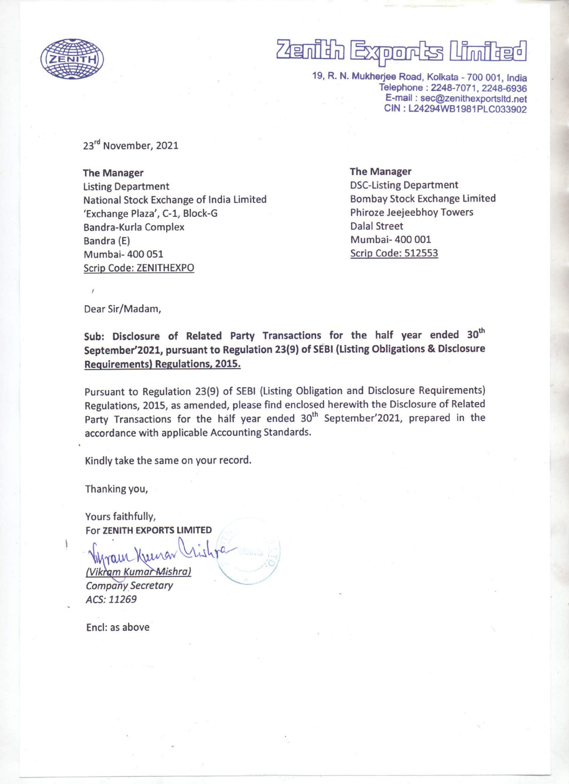

# $\overline{\phantom{a}}$ \_\_\_\_\_  $\overline{B}$ and a second and a second in the second second in the second in the second in the second in the second in the<br>The second in the second in the second in the second in the second in the second in the second in the second i i

19, R. N. Mukherjee Road, Kolkata - 700 001, India Telephone : 2248-7071, 2248-6936 E-mail : sec@zenithexportsltd.net CIN : L24294WB1981PLC033902

23<sup>rd</sup> November, 2021

The Manager Listing Department National Stock Exchange of India Limited 'Exchange Plaza', C-1, Block-G Bandra-Kurla Complex Bandra (E) Mumbai- 400 051 Scrip Code: ZENITHEXPO

The Manager DSC-Listing Department Bombay Stock Exchange Limited Phiroze Jeejeebhoy Towers Dalal Street Mumbai- 400 001 Scrip Code: 512553

Dear Sir/Madam,

Sub: Disclosure of Related Party Transactions for the half year ended 30th September'2021, pursuant to Regulation 23(9) of SEBI (Listing Obligations & Disclosure Requirements) Regulations, 2015.

Pursuant to Regulation 23(9) of SEBI (Listing Obligation and Disclosure Requirements) Regulations, 2015, as amended, please find enclosed herewith the Disclosure of Related Party Transactions for the half year ended 30<sup>th</sup> September'2021, prepared in the accordance with applicable Accounting Standards.

Kindly take the same on your record.

Thanking you,

Yours faithfully, For ZENITH EXPORTS LIMITED

(Vikram Kumar Mishra) Company Secretary ACS: 11269

Encl: as above